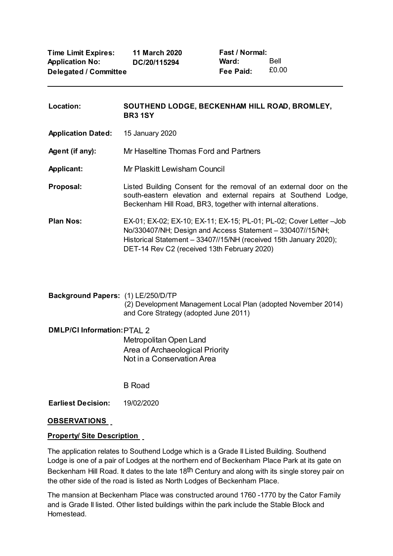**Fast / Normal: Ward: Fee Paid:** Bell £0.00

| Location:                 | SOUTHEND LODGE, BECKENHAM HILL ROAD, BROMLEY,<br><b>BR31SY</b>                                                                                                                                                                                        |
|---------------------------|-------------------------------------------------------------------------------------------------------------------------------------------------------------------------------------------------------------------------------------------------------|
| <b>Application Dated:</b> | 15 January 2020                                                                                                                                                                                                                                       |
| Agent (if any):           | Mr Haseltine Thomas Ford and Partners                                                                                                                                                                                                                 |
| <b>Applicant:</b>         | Mr Plaskitt Lewisham Council                                                                                                                                                                                                                          |
| Proposal:                 | Listed Building Consent for the removal of an external door on the<br>south-eastern elevation and external repairs at Southend Lodge,<br>Beckenham Hill Road, BR3, together with internal alterations.                                                |
| <b>Plan Nos:</b>          | EX-01; EX-02; EX-10; EX-11; EX-15; PL-01; PL-02; Cover Letter - Job<br>No/330407/NH; Design and Access Statement - 330407//15/NH;<br>Historical Statement - 33407//15/NH (received 15th January 2020);<br>DET-14 Rev C2 (received 13th February 2020) |

**Background Papers:** (1) LE/250/D/TP (2) Development Management Local Plan (adopted November 2014) and Core Strategy (adopted June 2011)

**DMLP/CI Information:**PTAL 2 Metropolitan Open Land Area of Archaeological Priority Not in a Conservation Area

B Road

**Earliest Decision:** 19/02/2020

### **OBSERVATIONS**

### **Property/ Site Description**

The application relates to Southend Lodge which is a Grade II Listed Building. Southend Lodge is one of a pair of Lodges at the northern end of Beckenham Place Park at its gate on Beckenham Hill Road. It dates to the late 18<sup>th</sup> Century and along with its single storey pair on the other side of the road is listed as North Lodges of Beckenham Place.

The mansion at Beckenham Place was constructed around 1760 -1770 by the Cator Family and is Grade II listed. Other listed buildings within the park include the Stable Block and Homestead.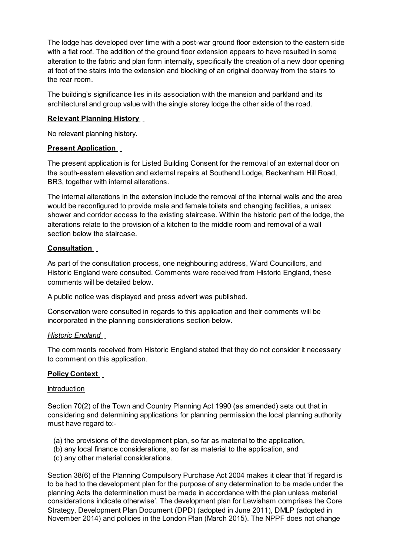The lodge has developed over time with a post-war ground floor extension to the eastern side with a flat roof. The addition of the ground floor extension appears to have resulted in some alteration to the fabric and plan form internally, specifically the creation of a new door opening at foot of the stairs into the extension and blocking of an original doorway from the stairs to the rear room.

The building's significance lies in its association with the mansion and parkland and its architectural and group value with the single storey lodge the other side of the road.

## **Relevant Planning History**

No relevant planning history.

#### **Present Application**

The present application is for Listed Building Consent for the removal of an external door on the south-eastern elevation and external repairs at Southend Lodge, Beckenham Hill Road, BR3, together with internal alterations.

The internal alterations in the extension include the removal of the internal walls and the area would be reconfigured to provide male and female toilets and changing facilities, a unisex shower and corridor access to the existing staircase. Within the historic part of the lodge, the alterations relate to the provision of a kitchen to the middle room and removal of a wall section below the staircase.

### **Consultation**

As part of the consultation process, one neighbouring address, Ward Councillors, and Historic England were consulted. Comments were received from Historic England, these comments will be detailed below.

A public notice was displayed and press advert was published.

Conservation were consulted in regards to this application and their comments will be incorporated in the planning considerations section below.

#### *Historic England*

The comments received from Historic England stated that they do not consider it necessary to comment on this application.

### **Policy Context**

#### **Introduction**

Section 70(2) of the Town and Country Planning Act 1990 (as amended) sets out that in considering and determining applications for planning permission the local planning authority must have regard to:-

- (a) the provisions of the development plan, so far as material to the application,
- (b) any local finance considerations, so far as material to the application, and
- (c) any other material considerations.

Section 38(6) of the Planning Compulsory Purchase Act 2004 makes it clear that 'if regard is to be had to the development plan for the purpose of any determination to be made under the planning Acts the determination must be made in accordance with the plan unless material considerations indicate otherwise'. The development plan for Lewisham comprises the Core Strategy, Development Plan Document (DPD) (adopted in June 2011), DMLP (adopted in November 2014) and policies in the London Plan (March 2015). The NPPF does not change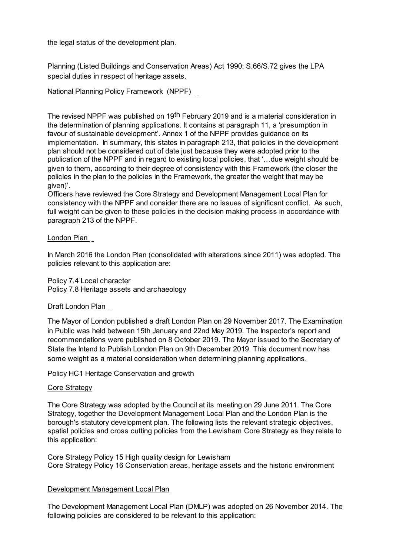the legal status of the development plan.

Planning (Listed Buildings and Conservation Areas) Act 1990: S.66/S.72 gives the LPA special duties in respect of heritage assets.

## National Planning Policy Framework (NPPF)

The revised NPPF was published on 19th February 2019 and is a material consideration in the determination of planning applications. It contains at paragraph 11, a 'presumption in favour of sustainable development'. Annex 1 of the NPPF provides guidance on its implementation. In summary, this states in paragraph 213, that policies in the development plan should not be considered out of date just because they were adopted prior to the publication of the NPPF and in regard to existing local policies, that '…due weight should be given to them, according to their degree of consistency with this Framework (the closer the policies in the plan to the policies in the Framework, the greater the weight that may be given)'.

Officers have reviewed the Core Strategy and Development Management Local Plan for consistency with the NPPF and consider there are no issues of significant conflict. As such, full weight can be given to these policies in the decision making process in accordance with paragraph 213 of the NPPF.

### London Plan

In March 2016 the London Plan (consolidated with alterations since 2011) was adopted. The policies relevant to this application are:

Policy 7.4 Local character

Policy 7.8 Heritage assets and archaeology

### Draft London Plan

The Mayor of London published a draft London Plan on 29 November 2017. The Examination in Public was held between 15th January and 22nd May 2019. The Inspector's report and recommendations were published on 8 October 2019. The Mayor issued to the Secretary of State the Intend to Publish London Plan on 9th December 2019. This document now has some weight as a material consideration when determining planning applications.

Policy HC1 Heritage Conservation and growth

#### Core Strategy

The Core Strategy was adopted by the Council at its meeting on 29 June 2011. The Core Strategy, together the Development Management Local Plan and the London Plan is the borough's statutory development plan. The following lists the relevant strategic objectives, spatial policies and cross cutting policies from the Lewisham Core Strategy as they relate to this application:

Core Strategy Policy 15 High quality design for Lewisham Core Strategy Policy 16 Conservation areas, heritage assets and the historic environment

### Development Management Local Plan

The Development Management Local Plan (DMLP) was adopted on 26 November 2014. The following policies are considered to be relevant to this application: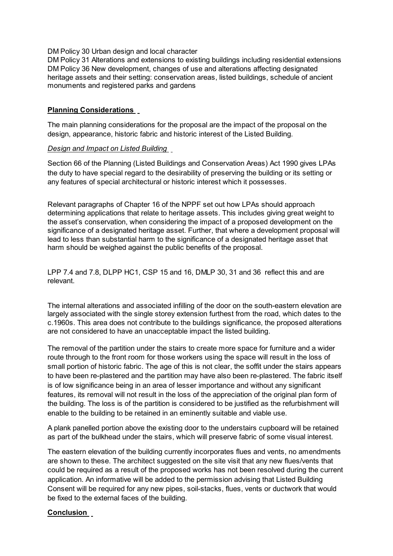DM Policy 30 Urban design and local character

DM Policy 31 Alterations and extensions to existing buildings including residential extensions DM Policy 36 New development, changes of use and alterations affecting designated heritage assets and their setting: conservation areas, listed buildings, schedule of ancient monuments and registered parks and gardens

## **Planning Considerations**

The main planning considerations for the proposal are the impact of the proposal on the design, appearance, historic fabric and historic interest of the Listed Building.

### *Design and Impact on Listed Building*

Section 66 of the Planning (Listed Buildings and Conservation Areas) Act 1990 gives LPAs the duty to have special regard to the desirability of preserving the building or its setting or any features of special architectural or historic interest which it possesses.

Relevant paragraphs of Chapter 16 of the NPPF set out how LPAs should approach determining applications that relate to heritage assets. This includes giving great weight to the asset's conservation, when considering the impact of a proposed development on the significance of a designated heritage asset. Further, that where a development proposal will lead to less than substantial harm to the significance of a designated heritage asset that harm should be weighed against the public benefits of the proposal.

LPP 7.4 and 7.8, DLPP HC1, CSP 15 and 16, DMLP 30, 31 and 36 reflect this and are relevant.

The internal alterations and associated infilling of the door on the south-eastern elevation are largely associated with the single storey extension furthest from the road, which dates to the c.1960s. This area does not contribute to the buildings significance, the proposed alterations are not considered to have an unacceptable impact the listed building.

The removal of the partition under the stairs to create more space for furniture and a wider route through to the front room for those workers using the space will result in the loss of small portion of historic fabric. The age of this is not clear, the soffit under the stairs appears to have been re-plastered and the partition may have also been re-plastered. The fabric itself is of low significance being in an area of lesser importance and without any significant features, its removal will not result in the loss of the appreciation of the original plan form of the building. The loss is of the partition is considered to be justified as the refurbishment will enable to the building to be retained in an eminently suitable and viable use.

A plank panelled portion above the existing door to the understairs cupboard will be retained as part of the bulkhead under the stairs, which will preserve fabric of some visual interest.

The eastern elevation of the building currently incorporates flues and vents, no amendments are shown to these. The architect suggested on the site visit that any new flues/vents that could be required as a result of the proposed works has not been resolved during the current application. An informative will be added to the permission advising that Listed Building Consent will be required for any new pipes, soil-stacks, flues, vents or ductwork that would be fixed to the external faces of the building.

### **Conclusion**